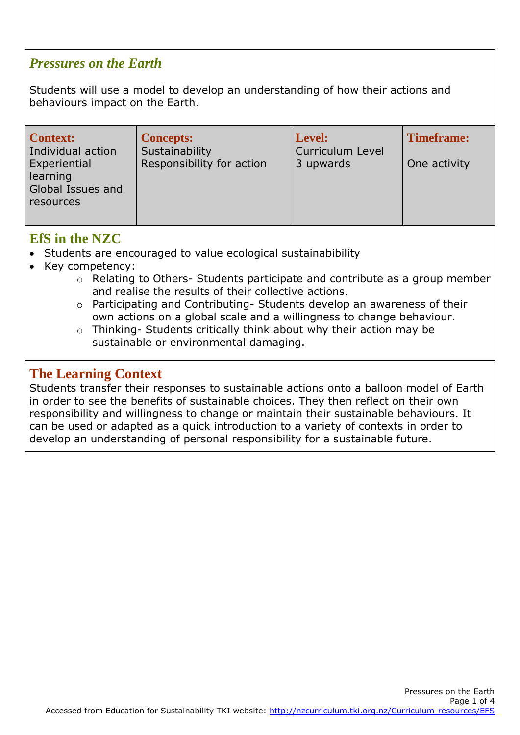## *Pressures on the Earth*

Students will use a model to develop an understanding of how their actions and behaviours impact on the Earth.

| <b>Context:</b>                                            | <b>Concepts:</b>          | Level:                  | <b>Timeframe:</b> |
|------------------------------------------------------------|---------------------------|-------------------------|-------------------|
| Individual action                                          | Sustainability            | <b>Curriculum Level</b> |                   |
| Experiential<br>learning<br>Global Issues and<br>resources | Responsibility for action | 3 upwards               | One activity      |

## **EfS in the NZC**

- Students are encouraged to value ecological sustainabibility
- Key competency:
	- o Relating to Others- Students participate and contribute as a group member and realise the results of their collective actions.
	- o Participating and Contributing- Students develop an awareness of their own actions on a global scale and a willingness to change behaviour.
	- o Thinking- Students critically think about why their action may be sustainable or environmental damaging.

## **The Learning Context**

Students transfer their responses to sustainable actions onto a balloon model of Earth in order to see the benefits of sustainable choices. They then reflect on their own responsibility and willingness to change or maintain their sustainable behaviours. It can be used or adapted as a quick introduction to a variety of contexts in order to develop an understanding of personal responsibility for a sustainable future.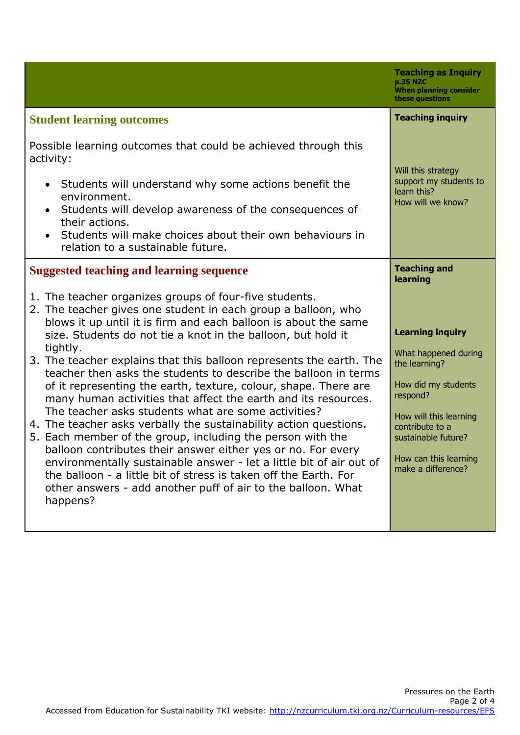|                                                                                                                                                                                                                                                                                                                                                                                                                                                                                                                                                                                                                                                                                                                                                                                                                                                                                                                                                                                                                                        | <b>Teaching as Inquiry</b><br>p.35 NZC<br><b>When planning consider</b><br>these questions                                                                                                                             |
|----------------------------------------------------------------------------------------------------------------------------------------------------------------------------------------------------------------------------------------------------------------------------------------------------------------------------------------------------------------------------------------------------------------------------------------------------------------------------------------------------------------------------------------------------------------------------------------------------------------------------------------------------------------------------------------------------------------------------------------------------------------------------------------------------------------------------------------------------------------------------------------------------------------------------------------------------------------------------------------------------------------------------------------|------------------------------------------------------------------------------------------------------------------------------------------------------------------------------------------------------------------------|
| <b>Student learning outcomes</b>                                                                                                                                                                                                                                                                                                                                                                                                                                                                                                                                                                                                                                                                                                                                                                                                                                                                                                                                                                                                       | <b>Teaching inquiry</b>                                                                                                                                                                                                |
| Possible learning outcomes that could be achieved through this<br>activity:<br>Students will understand why some actions benefit the<br>$\bullet$<br>environment.<br>Students will develop awareness of the consequences of<br>$\bullet$<br>their actions.<br>Students will make choices about their own behaviours in<br>relation to a sustainable future.                                                                                                                                                                                                                                                                                                                                                                                                                                                                                                                                                                                                                                                                            | Will this strategy<br>support my students to<br>learn this?<br>How will we know?                                                                                                                                       |
| <b>Suggested teaching and learning sequence</b>                                                                                                                                                                                                                                                                                                                                                                                                                                                                                                                                                                                                                                                                                                                                                                                                                                                                                                                                                                                        | <b>Teaching and</b><br>learning                                                                                                                                                                                        |
| 1. The teacher organizes groups of four-five students.<br>2. The teacher gives one student in each group a balloon, who<br>blows it up until it is firm and each balloon is about the same<br>size. Students do not tie a knot in the balloon, but hold it<br>tightly.<br>3. The teacher explains that this balloon represents the earth. The<br>teacher then asks the students to describe the balloon in terms<br>of it representing the earth, texture, colour, shape. There are<br>many human activities that affect the earth and its resources.<br>The teacher asks students what are some activities?<br>4. The teacher asks verbally the sustainability action questions.<br>5. Each member of the group, including the person with the<br>balloon contributes their answer either yes or no. For every<br>environmentally sustainable answer - let a little bit of air out of<br>the balloon - a little bit of stress is taken off the Earth. For<br>other answers - add another puff of air to the balloon. What<br>happens? | <b>Learning inquiry</b><br>What happened during<br>the learning?<br>How did my students<br>respond?<br>How will this learning<br>contribute to a<br>sustainable future?<br>How can this learning<br>make a difference? |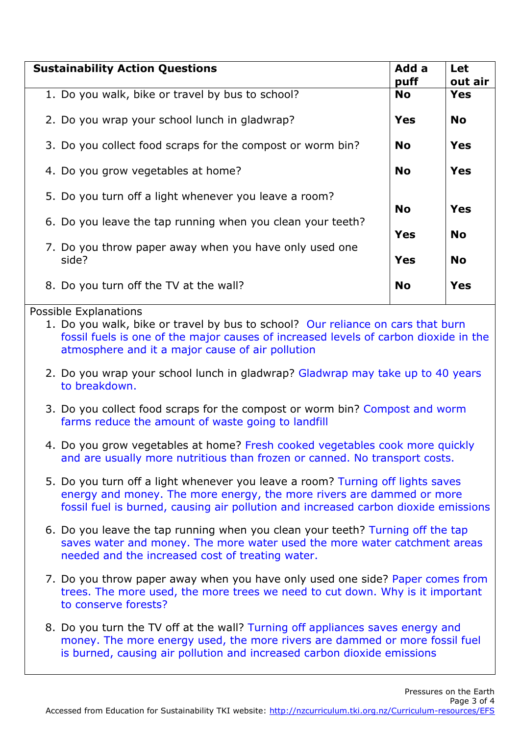| <b>Sustainability Action Questions</b>                          |                          | Let<br>out air |
|-----------------------------------------------------------------|--------------------------|----------------|
| 1. Do you walk, bike or travel by bus to school?                | <b>No</b>                | <b>Yes</b>     |
| 2. Do you wrap your school lunch in gladwrap?                   | <b>Yes</b>               | <b>No</b>      |
| 3. Do you collect food scraps for the compost or worm bin?      | <b>No</b>                | Yes            |
| 4. Do you grow vegetables at home?                              | <b>No</b>                | <b>Yes</b>     |
| 5. Do you turn off a light whenever you leave a room?           | <b>No</b><br>Yes         |                |
| 6. Do you leave the tap running when you clean your teeth?      |                          | <b>No</b>      |
| 7. Do you throw paper away when you have only used one<br>side? | <b>Yes</b><br><b>Yes</b> | <b>No</b>      |
| 8. Do you turn off the TV at the wall?                          | <b>No</b>                | Yes            |

## Possible Explanations

1. Do you walk, bike or travel by bus to school? Our reliance on cars that burn fossil fuels is one of the major causes of increased levels of carbon dioxide in the atmosphere and it a major cause of air pollution

- 2. Do you wrap your school lunch in gladwrap? Gladwrap may take up to 40 years to breakdown.
- 3. Do you collect food scraps for the compost or worm bin? Compost and worm farms reduce the amount of waste going to landfill
- 4. Do you grow vegetables at home? Fresh cooked vegetables cook more quickly and are usually more nutritious than frozen or canned. No transport costs.
- 5. Do you turn off a light whenever you leave a room? Turning off lights saves energy and money. The more energy, the more rivers are dammed or more fossil fuel is burned, causing air pollution and increased carbon dioxide emissions
- 6. Do you leave the tap running when you clean your teeth? Turning off the tap saves water and money. The more water used the more water catchment areas needed and the increased cost of treating water.
- 7. Do you throw paper away when you have only used one side? Paper comes from trees. The more used, the more trees we need to cut down. Why is it important to conserve forests?
- 8. Do you turn the TV off at the wall? Turning off appliances saves energy and money. The more energy used, the more rivers are dammed or more fossil fuel is burned, causing air pollution and increased carbon dioxide emissions